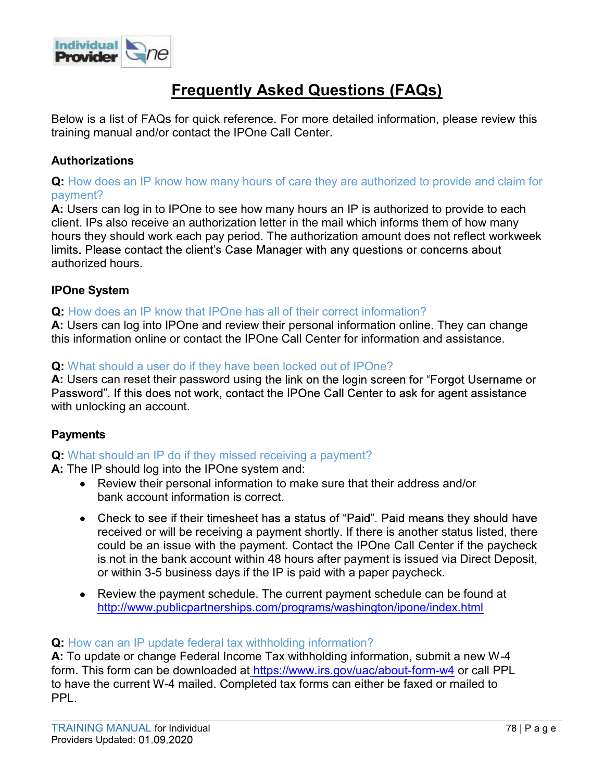

## Frequently Asked Questions (FAQs)

Below is a list of FAQs for quick reference. For more detailed information, please review this training manual and/or contact the IPOne Call Center.

### Authorizations

Q: How does an IP know how many hours of care they are authorized to provide and claim for payment?

A: Users can log in to IPOne to see how many hours an IP is authorized to provide to each client. IPs also receive an authorization letter in the mail which informs them of how many hours they should work each pay period. The authorization amount does not reflect workweek authorized hours. **Erequently Asked Questions (FAQs)**<br> **Elelow is a list of FAQs for quick reference.** For more detailed information, please review this<br> **Authorizations**<br> **A:** Users can log in to IPOne to see how many hours of care they ar

#### IPOne System

#### Q: How does an IP know that IPOne has all of their correct information?

this information online or contact the IPOne Call Center for information and assistance.

#### Q: What should a user do if they have been locked out of IPOne?

A: Users can reset their password using the link on the login screen for "Forgot Username or with unlocking an account.

#### **Payments**

#### Q: What should an IP do if they missed receiving a payment?

A: The IP should log into the IPOne system and:

- Review their personal information to make sure that their address and/or bank account information is correct.
- received or will be receiving a payment shortly. If there is another status listed, there could be an issue with the payment. Contact the IPOne Call Center if the paycheck is not in the bank account within 48 hours after payment is issued via Direct Deposit, can log into IPOne and review their personal information online. They can change<br>mation online or contact the IPOne Call Center for information and assistance.<br>should a user do if they have been locked out of IPOne?<br>can re **Example 10** when the respect and the system and the cystem and the conduct of the conduct information is correct.<br>
• Review their personal information is correct.<br>
• Check to see if their dimesheet has a status of "Paid"
	- Review the payment schedule. The current payment schedule can be found at http://www.publicpartnerships.com/programs/washington/ipone/index.html

#### Q: How can an IP update federal tax withholding information?

A: To update or change Federal Income Tax withholding information, submit a new W-4 form. This form can be downloaded at https://www.irs.gov/uac/about-form-w4 or call PPL to have the current W-4 mailed. Completed tax forms can either be faxed or mailed to PPL.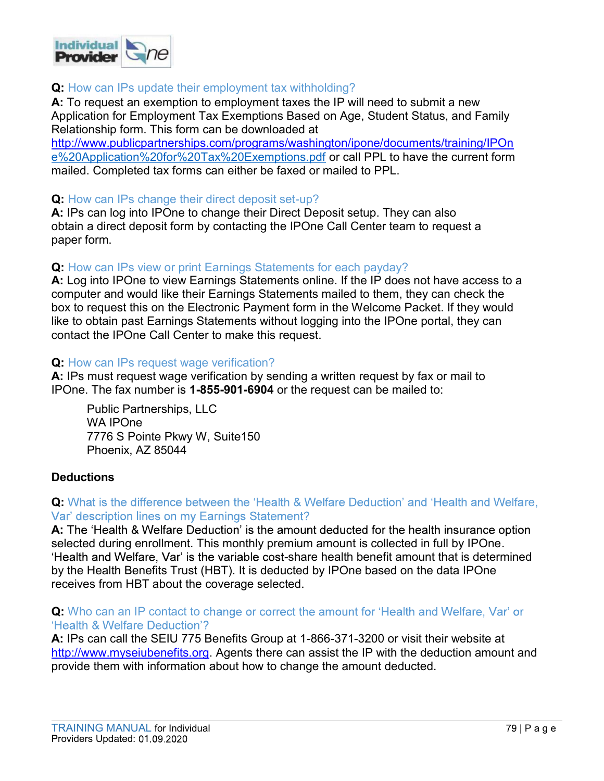

#### Q: How can IPs update their employment tax withholding?

A: To request an exemption to employment taxes the IP will need to submit a new Application for Employment Tax Exemptions Based on Age, Student Status, and Family Relationship form. This form can be downloaded at

http://www.publicpartnerships.com/programs/washington/ipone/documents/training/IPOn e%20Application%20for%20Tax%20Exemptions.pdf or call PPL to have the current form mailed. Completed tax forms can either be faxed or mailed to PPL.

#### Q: How can IPs change their direct deposit set-up?

A: IPs can log into IPOne to change their Direct Deposit setup. They can also obtain a direct deposit form by contacting the IPOne Call Center team to request a paper form.

#### Q: How can IPs view or print Earnings Statements for each payday?

**Example 12:**<br> **A:** To request an exemption to employment tax withholding?<br> **A:** To request an exemption to employment taxes the IP will need to submit a new<br>
Application for Employment Tax Exemptions Based on Age, Student computer and would like their Earnings Statements mailed to them, they can check the box to request this on the Electronic Payment form in the Welcome Packet. If they would like to obtain past Earnings Statements without logging into the IPOne portal, they can contact the IPOne Call Center to make this request.

#### Q: How can IPs request wage verification?

A: IPs must request wage verification by sending a written request by fax or mail to IPOne. The fax number is 1-855-901-6904 or the request can be mailed to:

Public Partnerships, LLC WA IPOne 7776 S Pointe Pkwy W, Suite150 Phoenix, AZ 85044

#### **Deductions**

**Q:** What is the difference between the 'Health & Welfare Deduction' and 'Health and Welfare,

A: The 'Health & Welfare Deduction' is the amount deducted for the health insurance option selected during enrollment. This monthly premium amount is collected in full by IPOne. 'Health and Welfare. Var' is the variable cost-share health benefit amount that is determined by the Health Benefits Trust (HBT). It is deducted by IPOne based on the data IPOne receives from HBT about the coverage selected. **Deductions**<br> **Q:** What is the difference between the 'Health & Welfare Deduction' and 'Health and Welfare,<br>
Var' description lines on my Earnings Statement?<br>
A: The 'Health & Welfare Deduction' is the amount deducted for

# Q: Who can an IP contact to change or correct the amount for 'Health and Welfare, Var' or

A: IPs can call the SEIU 775 Benefits Group at 1-866-371-3200 or visit their website at http://www.myseiubenefits.org. Agents there can assist the IP with the deduction amount and provide them with information about how to change the amount deducted.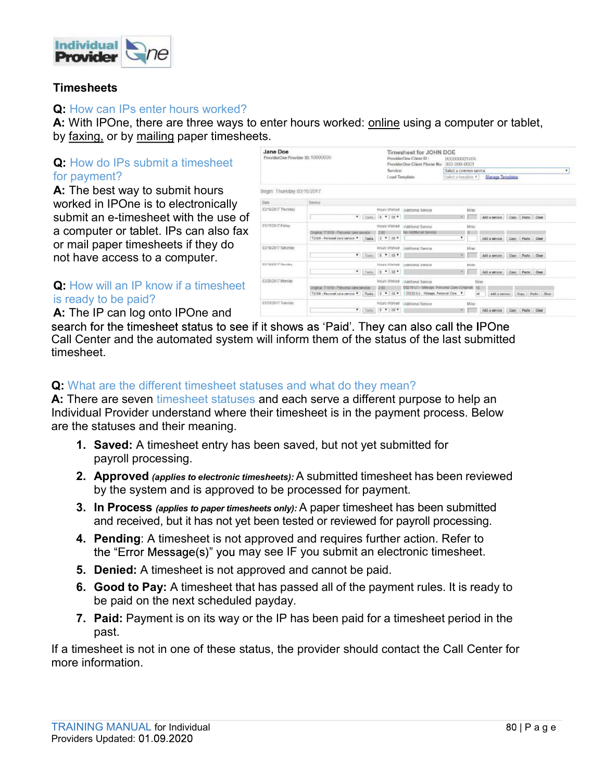

#### **Timesheets**

#### Q: How can IPs enter hours worked?

**Provider**<br> **A:** With IPOne, there are three ways to enter hours worked: online using a computer or tablet,<br>
A: With IPOne, there are three ways to enter hours worked: <u>online</u> using a computer or tablet,<br> **Q:** How do IPs **Provider**<br> **C** (1)<br> **C** (1)<br> **C** (1)<br> **C** (1)<br> **C** (1)<br> **C** (1)<br> **C** (1)<br> **C** (1)<br> **C** (1)<br> **C** (1)<br> **C** (1)<br> **C** (1)<br> **C** (1)<br> **C** (1)<br> **C** (1)<br> **C** (1)<br> **C** (1)<br> **C** (1)<br> **C** (1)<br> **C** (1)<br> **C** (1)<br> **C** (1)<br> **C** (1)<br> **C** 

# Q: How do IPs submit a timesheet for payment?

**A:** The best way to submit hours **Begin: Thursday 03/16/2017** Worked in IPOne is to electronically were not the substant Thursday submit an e-timesheet with the use of a computer or tablet. IPs can also fax **such a computation consumer and an absolution** and the second computer is a second and the second computer is a second computer is a second computation of the second computer is a se or mail paper timesheets if they do not have access to a computer.



A: The IP can log onto IPOne and

Call Center and the automated system will inform them of the status of the last submitted timesheet. A. Person is a timesheet is not a timesheet is not approved and the processed and the processes of the mesheet is not the timesheet status to see if it shows as 'Paid'. They can also call the IPOne Center and the automated me in Can log on in Droma and<br>the for the timesheet status to see if it shows as 'Paid'. They can also call the Center and the automated system will inform them of the status of the last su<br>sheet.<br>That are the different ti

### Q: What are the different timesheet statuses and what do they mean?

A: There are seven timesheet statuses and each serve a different purpose to help an Individual Provider understand where their timesheet is in the payment process. Below are the statuses and their meaning. Solution the different timesheet statuses and what do they mean?<br>Center and the allomated system will inform them of the status of the last submitted<br>sheet.<br>
That are the different timesheet statuses and cash serve a diffe That are the different timesheet statuses and what do they mean?<br>
nere are seven timesheet statuses and each serve a different purpose to help an<br>
idual Provider understand where their timesheet is in the payment process.

- payroll processing.
- by the system and is approved to be processed for payment.
- and received, but it has not yet been tested or reviewed for payroll processing.
- the "Error Message(s)" you may see IF you submit an electronic timesheet.
- 
- be paid on the next scheduled payday.
- past.

If a timesheet is not in one of these status, the provider should contact the Call Center for more information. 2. Approved (applies to electronic timesheets): A submitted timesheet has been reviewed<br>by the system and is approved to be processed for payrment.<br>3. In Processe applies to paper timesheets only): A paper timesheet has b